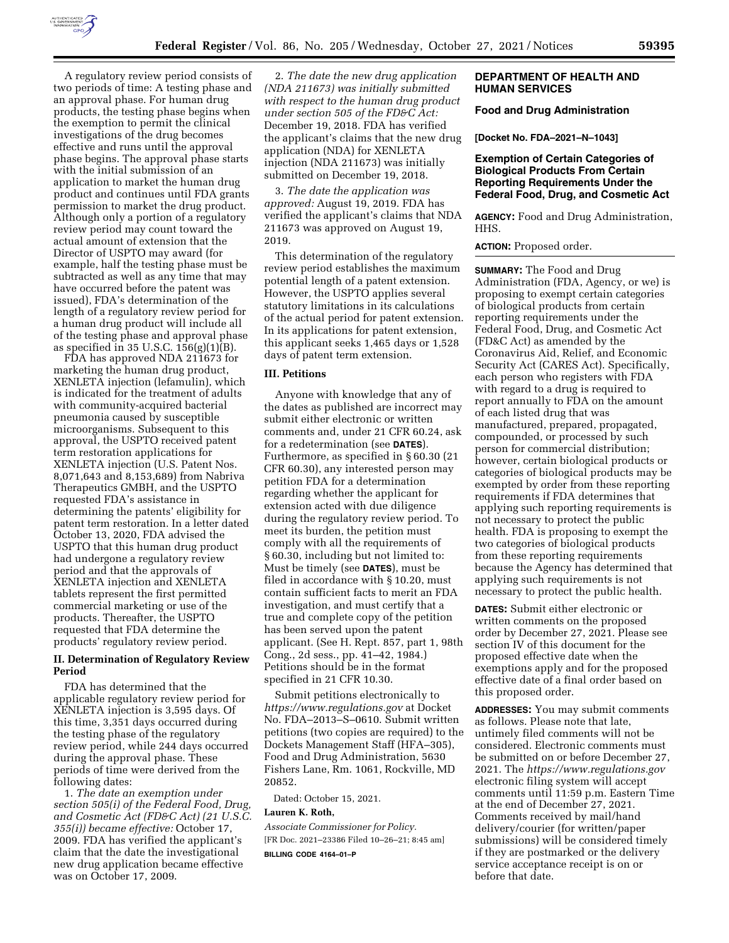

A regulatory review period consists of two periods of time: A testing phase and an approval phase. For human drug products, the testing phase begins when the exemption to permit the clinical investigations of the drug becomes effective and runs until the approval phase begins. The approval phase starts with the initial submission of an application to market the human drug product and continues until FDA grants permission to market the drug product. Although only a portion of a regulatory review period may count toward the actual amount of extension that the Director of USPTO may award (for example, half the testing phase must be subtracted as well as any time that may have occurred before the patent was issued), FDA's determination of the length of a regulatory review period for a human drug product will include all of the testing phase and approval phase as specified in 35 U.S.C. 156(g)(1)(B).

FDA has approved NDA 211673 for marketing the human drug product, XENLETA injection (lefamulin), which is indicated for the treatment of adults with community-acquired bacterial pneumonia caused by susceptible microorganisms. Subsequent to this approval, the USPTO received patent term restoration applications for XENLETA injection (U.S. Patent Nos. 8,071,643 and 8,153,689) from Nabriva Therapeutics GMBH, and the USPTO requested FDA's assistance in determining the patents' eligibility for patent term restoration. In a letter dated October 13, 2020, FDA advised the USPTO that this human drug product had undergone a regulatory review period and that the approvals of XENLETA injection and XENLETA tablets represent the first permitted commercial marketing or use of the products. Thereafter, the USPTO requested that FDA determine the products' regulatory review period.

# **II. Determination of Regulatory Review Period**

FDA has determined that the applicable regulatory review period for XENLETA injection is 3,595 days. Of this time, 3,351 days occurred during the testing phase of the regulatory review period, while 244 days occurred during the approval phase. These periods of time were derived from the following dates:

1. *The date an exemption under section 505(i) of the Federal Food, Drug, and Cosmetic Act (FD&C Act) (21 U.S.C. 355(i)) became effective:* October 17, 2009. FDA has verified the applicant's claim that the date the investigational new drug application became effective was on October 17, 2009.

2. *The date the new drug application (NDA 211673) was initially submitted with respect to the human drug product under section 505 of the FD&C Act:*  December 19, 2018. FDA has verified the applicant's claims that the new drug application (NDA) for XENLETA injection (NDA 211673) was initially submitted on December 19, 2018.

3. *The date the application was approved:* August 19, 2019. FDA has verified the applicant's claims that NDA 211673 was approved on August 19, 2019.

This determination of the regulatory review period establishes the maximum potential length of a patent extension. However, the USPTO applies several statutory limitations in its calculations of the actual period for patent extension. In its applications for patent extension, this applicant seeks 1,465 days or 1,528 days of patent term extension.

### **III. Petitions**

Anyone with knowledge that any of the dates as published are incorrect may submit either electronic or written comments and, under 21 CFR 60.24, ask for a redetermination (see **DATES**). Furthermore, as specified in § 60.30 (21 CFR 60.30), any interested person may petition FDA for a determination regarding whether the applicant for extension acted with due diligence during the regulatory review period. To meet its burden, the petition must comply with all the requirements of § 60.30, including but not limited to: Must be timely (see **DATES**), must be filed in accordance with § 10.20, must contain sufficient facts to merit an FDA investigation, and must certify that a true and complete copy of the petition has been served upon the patent applicant. (See H. Rept. 857, part 1, 98th Cong., 2d sess., pp. 41–42, 1984.) Petitions should be in the format specified in 21 CFR 10.30.

Submit petitions electronically to *<https://www.regulations.gov>* at Docket No. FDA–2013–S–0610. Submit written petitions (two copies are required) to the Dockets Management Staff (HFA–305), Food and Drug Administration, 5630 Fishers Lane, Rm. 1061, Rockville, MD 20852.

Dated: October 15, 2021.

#### **Lauren K. Roth,**

*Associate Commissioner for Policy.*  [FR Doc. 2021–23386 Filed 10–26–21; 8:45 am] **BILLING CODE 4164–01–P** 

## **DEPARTMENT OF HEALTH AND HUMAN SERVICES**

# **Food and Drug Administration**

**[Docket No. FDA–2021–N–1043]** 

### **Exemption of Certain Categories of Biological Products From Certain Reporting Requirements Under the Federal Food, Drug, and Cosmetic Act**

**AGENCY:** Food and Drug Administration, HHS.

**ACTION:** Proposed order.

**SUMMARY:** The Food and Drug Administration (FDA, Agency, or we) is proposing to exempt certain categories of biological products from certain reporting requirements under the Federal Food, Drug, and Cosmetic Act (FD&C Act) as amended by the Coronavirus Aid, Relief, and Economic Security Act (CARES Act). Specifically, each person who registers with FDA with regard to a drug is required to report annually to FDA on the amount of each listed drug that was manufactured, prepared, propagated, compounded, or processed by such person for commercial distribution; however, certain biological products or categories of biological products may be exempted by order from these reporting requirements if FDA determines that applying such reporting requirements is not necessary to protect the public health. FDA is proposing to exempt the two categories of biological products from these reporting requirements because the Agency has determined that applying such requirements is not necessary to protect the public health.

**DATES:** Submit either electronic or written comments on the proposed order by December 27, 2021. Please see section IV of this document for the proposed effective date when the exemptions apply and for the proposed effective date of a final order based on this proposed order.

**ADDRESSES:** You may submit comments as follows. Please note that late, untimely filed comments will not be considered. Electronic comments must be submitted on or before December 27, 2021. The *<https://www.regulations.gov>* electronic filing system will accept comments until 11:59 p.m. Eastern Time at the end of December 27, 2021. Comments received by mail/hand delivery/courier (for written/paper submissions) will be considered timely if they are postmarked or the delivery service acceptance receipt is on or before that date.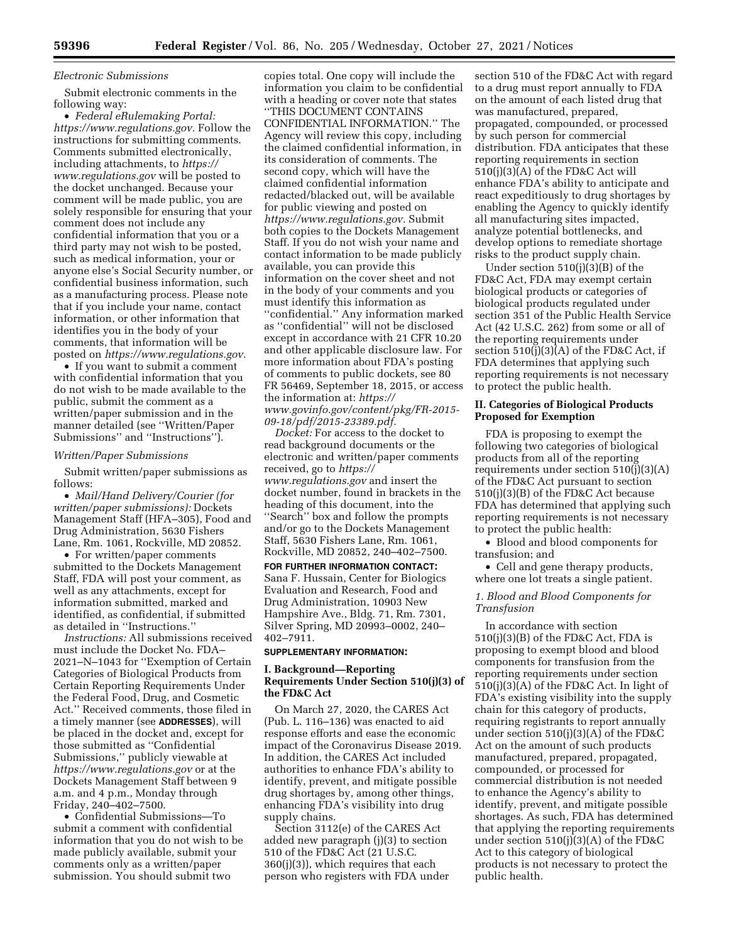#### *Electronic Submissions*

Submit electronic comments in the following way:

• *Federal eRulemaking Portal: [https://www.regulations.gov.](https://www.regulations.gov)* Follow the instructions for submitting comments. Comments submitted electronically, including attachments, to *[https://](https://www.regulations.gov) [www.regulations.gov](https://www.regulations.gov)* will be posted to the docket unchanged. Because your comment will be made public, you are solely responsible for ensuring that your comment does not include any confidential information that you or a third party may not wish to be posted, such as medical information, your or anyone else's Social Security number, or confidential business information, such as a manufacturing process. Please note that if you include your name, contact information, or other information that identifies you in the body of your comments, that information will be posted on *[https://www.regulations.gov.](https://www.regulations.gov)* 

• If you want to submit a comment with confidential information that you do not wish to be made available to the public, submit the comment as a written/paper submission and in the manner detailed (see ''Written/Paper Submissions'' and ''Instructions'').

#### *Written/Paper Submissions*

Submit written/paper submissions as follows:

• *Mail/Hand Delivery/Courier (for written/paper submissions):* Dockets Management Staff (HFA–305), Food and Drug Administration, 5630 Fishers Lane, Rm. 1061, Rockville, MD 20852.

• For written/paper comments submitted to the Dockets Management Staff, FDA will post your comment, as well as any attachments, except for information submitted, marked and identified, as confidential, if submitted as detailed in ''Instructions.''

*Instructions:* All submissions received must include the Docket No. FDA– 2021–N–1043 for ''Exemption of Certain Categories of Biological Products from Certain Reporting Requirements Under the Federal Food, Drug, and Cosmetic Act.'' Received comments, those filed in a timely manner (see **ADDRESSES**), will be placed in the docket and, except for those submitted as ''Confidential Submissions,'' publicly viewable at *<https://www.regulations.gov>* or at the Dockets Management Staff between 9 a.m. and 4 p.m., Monday through Friday, 240–402–7500.

• Confidential Submissions—To submit a comment with confidential information that you do not wish to be made publicly available, submit your comments only as a written/paper submission. You should submit two

copies total. One copy will include the information you claim to be confidential with a heading or cover note that states ''THIS DOCUMENT CONTAINS CONFIDENTIAL INFORMATION.'' The Agency will review this copy, including the claimed confidential information, in its consideration of comments. The second copy, which will have the claimed confidential information redacted/blacked out, will be available for public viewing and posted on *[https://www.regulations.gov.](https://www.regulations.gov)* Submit both copies to the Dockets Management Staff. If you do not wish your name and contact information to be made publicly available, you can provide this information on the cover sheet and not in the body of your comments and you must identify this information as ''confidential.'' Any information marked as ''confidential'' will not be disclosed except in accordance with 21 CFR 10.20 and other applicable disclosure law. For more information about FDA's posting of comments to public dockets, see 80 FR 56469, September 18, 2015, or access the information at: *[https://](https://www.govinfo.gov/content/pkg/FR-2015-09-18/pdf/2015-23389.pdf) [www.govinfo.gov/content/pkg/FR-2015-](https://www.govinfo.gov/content/pkg/FR-2015-09-18/pdf/2015-23389.pdf) [09-18/pdf/2015-23389.pdf.](https://www.govinfo.gov/content/pkg/FR-2015-09-18/pdf/2015-23389.pdf)* 

*Docket:* For access to the docket to read background documents or the electronic and written/paper comments received, go to *[https://](https://www.regulations.gov) [www.regulations.gov](https://www.regulations.gov)* and insert the docket number, found in brackets in the heading of this document, into the ''Search'' box and follow the prompts and/or go to the Dockets Management Staff, 5630 Fishers Lane, Rm. 1061, Rockville, MD 20852, 240–402–7500.

**FOR FURTHER INFORMATION CONTACT:**  Sana F. Hussain, Center for Biologics Evaluation and Research, Food and Drug Administration, 10903 New Hampshire Ave., Bldg. 71, Rm. 7301, Silver Spring, MD 20993–0002, 240– 402–7911.

#### **SUPPLEMENTARY INFORMATION:**

# **I. Background—Reporting Requirements Under Section 510(j)(3) of the FD&C Act**

On March 27, 2020, the CARES Act (Pub. L. 116–136) was enacted to aid response efforts and ease the economic impact of the Coronavirus Disease 2019. In addition, the CARES Act included authorities to enhance FDA's ability to identify, prevent, and mitigate possible drug shortages by, among other things, enhancing FDA's visibility into drug supply chains.

Section 3112(e) of the CARES Act added new paragraph (j)(3) to section 510 of the FD&C Act (21 U.S.C. 360(j)(3)), which requires that each person who registers with FDA under

section 510 of the FD&C Act with regard to a drug must report annually to FDA on the amount of each listed drug that was manufactured, prepared, propagated, compounded, or processed by such person for commercial distribution. FDA anticipates that these reporting requirements in section  $510(j)(3)(A)$  of the FD&C Act will enhance FDA's ability to anticipate and react expeditiously to drug shortages by enabling the Agency to quickly identify all manufacturing sites impacted, analyze potential bottlenecks, and develop options to remediate shortage risks to the product supply chain.

Under section 510(j)(3)(B) of the FD&C Act, FDA may exempt certain biological products or categories of biological products regulated under section 351 of the Public Health Service Act (42 U.S.C. 262) from some or all of the reporting requirements under section  $510(j)(3)(A)$  of the FD&C Act, if FDA determines that applying such reporting requirements is not necessary to protect the public health.

### **II. Categories of Biological Products Proposed for Exemption**

FDA is proposing to exempt the following two categories of biological products from all of the reporting requirements under section 510(j)(3)(A) of the FD&C Act pursuant to section 510(j)(3)(B) of the FD&C Act because FDA has determined that applying such reporting requirements is not necessary to protect the public health:

• Blood and blood components for transfusion; and

• Cell and gene therapy products, where one lot treats a single patient.

# *1. Blood and Blood Components for Transfusion*

In accordance with section 510(j)(3)(B) of the FD&C Act, FDA is proposing to exempt blood and blood components for transfusion from the reporting requirements under section  $510(j)(3)(A)$  of the FD&C Act. In light of FDA's existing visibility into the supply chain for this category of products, requiring registrants to report annually under section 510(j)(3)(A) of the FD&C Act on the amount of such products manufactured, prepared, propagated, compounded, or processed for commercial distribution is not needed to enhance the Agency's ability to identify, prevent, and mitigate possible shortages. As such, FDA has determined that applying the reporting requirements under section 510(j)(3)(A) of the FD&C Act to this category of biological products is not necessary to protect the public health.